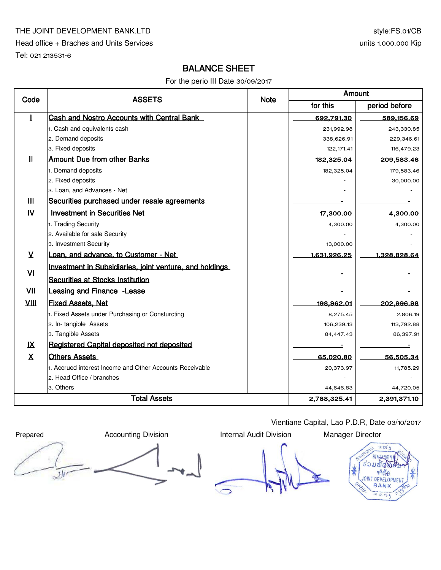#### THE JOINT DEVELOPMENT BANK.LTD

Head office + Braches and Units Services

Tel: 021 213531-6

# style:FS.01/CB units 1.000.000 Kip

# BALANCE SHEET

For the perio III Date 30/09/2017

| Code                | <b>ASSETS</b>                                            | <b>Note</b> | Amount       |               |  |
|---------------------|----------------------------------------------------------|-------------|--------------|---------------|--|
|                     |                                                          |             | for this     | period before |  |
|                     | <b>Cash and Nostro Accounts with Central Bank</b>        |             | 692,791.30   | 589,156.69    |  |
|                     | 1. Cash and equivalents cash                             |             | 231,992.98   | 243,330.85    |  |
|                     | 2. Demand deposits                                       |             | 338,626.91   | 229,346.61    |  |
|                     | 3. Fixed deposits                                        |             | 122, 171.41  | 116,479.23    |  |
| Ш                   | <b>Amount Due from other Banks</b>                       |             | 182,325.04   | 209,583.46    |  |
|                     | 1. Demand deposits                                       |             | 182,325.04   | 179,583.46    |  |
|                     | 2. Fixed deposits                                        |             |              | 30,000.00     |  |
|                     | 3. Loan, and Advances - Net                              |             |              |               |  |
| Ш                   | Securities purchased under resale agreements             |             |              |               |  |
| $\mathbf{N}$        | <b>Investment in Securities Net</b>                      |             | 17,300.00    | 4,300.00      |  |
|                     | 1. Trading Security                                      |             | 4,300.00     | 4,300.00      |  |
|                     | 2. Available for sale Security                           |             |              |               |  |
|                     | 3. Investment Security                                   |             | 13,000.00    |               |  |
| $\mathsf{V}$        | Loan, and advance, to Customer - Net                     |             | 1,631,926.25 | 1,328,828.64  |  |
|                     | Investment in Subsidiaries, joint venture, and holdings  |             |              |               |  |
| $\mathbf{V}$        | <b>Securities at Stocks Institution</b>                  |             |              |               |  |
| VII                 | <b>Leasing and Finance - Lease</b>                       |             |              |               |  |
| VIII                | <b>Fixed Assets, Net</b>                                 |             | 198,962.01   | 202,996.98    |  |
|                     | 1. Fixed Assets under Purchasing or Consturcting         |             | 8,275.45     | 2,806.19      |  |
|                     | 2. In-tangible Assets                                    |             | 106,239.13   | 113,792.88    |  |
|                     | 3. Tangible Assets                                       |             | 84,447.43    | 86,397.91     |  |
| IX                  | Registered Capital deposited not deposited               |             |              |               |  |
| X                   | <b>Others Assets</b>                                     |             | 65,020.80    | 56,505.34     |  |
|                     | 1. Accrued interest Income and Other Accounts Receivable |             | 20,373.97    | 11,785.29     |  |
|                     | 2. Head Office / branches                                |             |              |               |  |
|                     | 3. Others                                                |             | 44,646.83    | 44,720.05     |  |
| <b>Total Assets</b> |                                                          |             | 2,788,325.41 | 2,391,371.10  |  |

Vientiane Capital, Lao P.D.R, Date 03/10/2017



 $50.89$ ร้อมข้ จาห้อ **JOINT DEVELOPMEN** BANK  $554$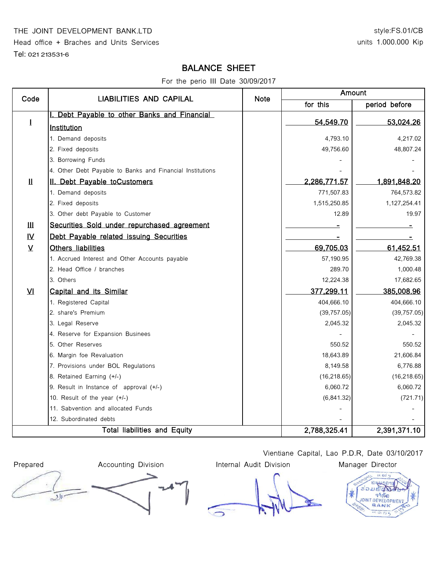#### THE JOINT DEVELOPMENT BANK.LTD

Head office + Braches and Units Services

Tel: 021 213531-6

### style:FS.01/CB units 1.000.000 Kip

## BALANCE SHEET

For the perio III Date 30/09/2017

| Code                              | <b>LIABILITIES AND CAPILAL</b>                            | <b>Note</b>  | Amount       |               |  |
|-----------------------------------|-----------------------------------------------------------|--------------|--------------|---------------|--|
|                                   |                                                           |              | for this     | period before |  |
| $\mathbf 1$                       | Debt Payable to other Banks and Financial                 |              |              |               |  |
|                                   | <b>Institution</b>                                        |              | 54,549.70    | 53,024.26     |  |
|                                   | 1. Demand deposits                                        |              | 4,793.10     | 4,217.02      |  |
|                                   | 2. Fixed deposits                                         |              | 49,756.60    | 48,807.24     |  |
|                                   | 3. Borrowing Funds                                        |              |              |               |  |
|                                   | 4. Other Debt Payable to Banks and Financial Institutions |              |              |               |  |
| $\mathbf{\mathbf{\underline{H}}}$ | II. Debt Payable toCustomers                              |              | 2,286,771.57 | 1,891,848.20  |  |
|                                   | 1. Demand deposits                                        |              | 771,507.83   | 764,573.82    |  |
|                                   | 2. Fixed deposits                                         |              | 1,515,250.85 | 1,127,254.41  |  |
|                                   | 3. Other debt Payable to Customer                         |              | 12.89        | 19.97         |  |
| $\mathbf{III}$                    | Securities Sold under repurchased agreement               |              |              |               |  |
| $\overline{\mathsf{N}}$           | Debt Payable related issuing Securities                   |              |              |               |  |
| $\underline{V}$                   | Others liabilities                                        |              | 69,705.03    | 61,452.51     |  |
|                                   | 1. Accrued Interest and Other Accounts payable            |              | 57,190.95    | 42,769.38     |  |
|                                   | 2. Head Office / branches                                 |              | 289.70       | 1,000.48      |  |
|                                   | 3. Others                                                 |              | 12,224.38    | 17,682.65     |  |
| VI                                | Capital and its Similar                                   |              | 377,299.11   | 385,008.96    |  |
|                                   | 1. Registered Capital                                     |              | 404,666.10   | 404,666.10    |  |
|                                   | 2. share's Premium                                        |              | (39, 757.05) | (39, 757.05)  |  |
|                                   | 3. Legal Reserve                                          |              | 2,045.32     | 2,045.32      |  |
|                                   | 4. Reserve for Expansion Businees                         |              |              |               |  |
|                                   | 5. Other Reserves                                         |              | 550.52       | 550.52        |  |
|                                   | 6. Margin foe Revaluation                                 |              | 18,643.89    | 21,606.84     |  |
|                                   | 7. Provisions under BOL Regulations                       |              | 8,149.58     | 6,776.88      |  |
|                                   | 8. Retained Earning (+/-)                                 |              | (16, 218.65) | (16, 218.65)  |  |
|                                   | 9. Result in Instance of approval (+/-)                   |              | 6,060.72     | 6,060.72      |  |
|                                   | 10. Result of the year (+/-)                              |              | (6,841.32)   | (721.71)      |  |
|                                   | 11. Sabvention and allocated Funds                        |              |              |               |  |
|                                   | 12. Subordinated debts                                    |              |              |               |  |
| Total liabilities and Equity      |                                                           | 2,788,325.41 | 2,391,371.10 |               |  |

Prepared **Accounting Division** Internal Audit Division Manager Director  $\overline{\mathcal{L}}$ 

Vientiane Capital, Lao P.D.R, Date 03/10/2017

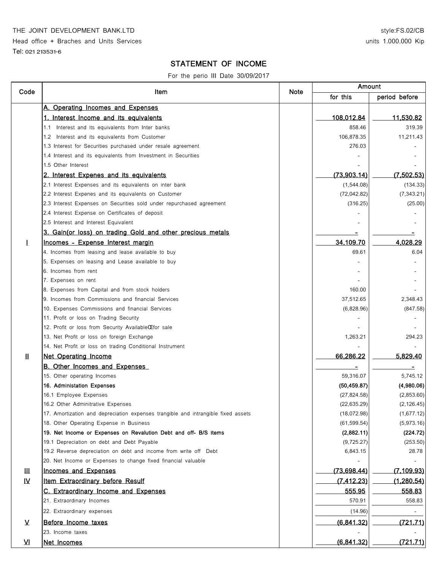THE JOINT DEVELOPMENT BANK.LTD

Head office + Braches and Units Services

Tel: 021 213531-6

### STATEMENT OF INCOME

For the perio III Date 30/09/2017

|                         | Item                                                                              |      | Amount       |               |
|-------------------------|-----------------------------------------------------------------------------------|------|--------------|---------------|
| Code                    |                                                                                   | Note | for this     | period before |
|                         | A. Operating Incomes and Expenses                                                 |      |              |               |
|                         | 1. Interest Income and its equivalents                                            |      | 108,012.84   | 11,530.82     |
|                         | 1.1 Interest and its equivalents from Inter banks                                 |      | 858.46       | 319.39        |
|                         | 1.2 Interest and its equivalents from Customer                                    |      | 106,878.35   | 11,211.43     |
|                         | 1.3 Interest for Securities purchased under resale agreement                      |      | 276.03       |               |
|                         | 1.4 Interest and its equivalents from Investment in Securities                    |      |              |               |
|                         | 1.5 Other Interest                                                                |      |              |               |
|                         | 2. Interest Expenes and its equivalents                                           |      | (73,903.14)  | (7,502.53)    |
|                         | 2.1 Interest Expenses and its equivalents on inter bank                           |      | (1,544.08)   | (134.33)      |
|                         | 2.2 Interest Expenes and its equivalents on Customer                              |      | (72,042.82)  | (7, 343.21)   |
|                         | 2.3 Interest Expenses on Securities sold under repurchased agreement              |      | (316.25)     | (25.00)       |
|                         | 2.4 Interest Expense on Certificates of deposit                                   |      |              |               |
|                         | 2.5 Interest and Interest Equivalent                                              |      |              |               |
|                         | 3. Gain(or loss) on trading Gold and other precious metals                        |      |              |               |
| $\mathbf{I}$            | Incomes - Expense Interest margin                                                 |      | 34,109.70    | 4,028.29      |
|                         | 4. Incomes from leasing and lease available to buy                                |      | 69.61        | 6.04          |
|                         | 5. Expenses on leasing and Lease available to buy                                 |      |              |               |
|                         | 6. Incomes from rent                                                              |      |              |               |
|                         | 7. Expenses on rent                                                               |      |              |               |
|                         | 8. Expenses from Capital and from stock holders                                   |      | 160.00       |               |
|                         | 9. Incomes from Commissions and financial Services                                |      | 37,512.65    | 2,348.43      |
|                         | 10. Expenses Commissions and financial Services                                   |      | (6,828.96)   | (847.58)      |
|                         | 11. Profit or loss on Trading Security                                            |      |              |               |
|                         | 12. Profit or loss from Security Available CE for sale                            |      |              |               |
|                         | 13. Net Profit or loss on foreign Exchange                                        |      | 1,263.21     | 294.23        |
|                         | 14. Net Profit or loss on trading Conditional Instrument                          |      |              |               |
| Ш                       | <b>Net Operating Income</b>                                                       |      | 66,286.22    | 5,829.40      |
|                         |                                                                                   |      |              |               |
|                         | <b>B. Other Incomes and Expenses</b>                                              |      |              | Ξ             |
|                         | 15. Other operating Incomes                                                       |      | 59,316.07    | 5,745.12      |
|                         | 16. Administation Expenses                                                        |      | (50, 459.87) | (4,980.06)    |
|                         | 16.1 Employee Expenses                                                            |      | (27, 824.58) | (2,853.60)    |
|                         | 16.2 Other Adminitrative Expenses                                                 |      | (22, 635.29) | (2, 126.45)   |
|                         | 17. Amortization and depreciation expenses trangible and intrangible fixed assets |      | (18,072.98)  | (1,677.12)    |
|                         | 18. Other Operating Expense in Business                                           |      | (61, 599.54) | (5,973.16)    |
|                         | 19. Net Income or Expenses on Revalution Debt and off- B/S items                  |      | (2,882.11)   | (224.72)      |
|                         | 19.1 Depreciation on debt and Debt Payable                                        |      | (9,725.27)   | (253.50)      |
|                         | 19.2 Reverse depreciation on debt and income from write off Debt                  |      | 6,843.15     | 28.78         |
|                         | 20. Net Income or Expenses to change fixed financial valuable                     |      |              |               |
| Ш                       | Incomes and Expenses                                                              |      | (73, 698.44) | (7, 109.93)   |
| $\mathbf{N}$            | Item Extraordinary before Resulf                                                  |      | (7, 412.23)  | (1,280.54)    |
|                         | C. Extraordinary Income and Expenses                                              |      | 555.95       | 558.83        |
|                         | 21. Extraordinary Incomes                                                         |      | 570.91       | 558.83        |
|                         | 22. Extraordinary expenses                                                        |      | (14.96)      |               |
| $\overline{\mathsf{v}}$ | Before Income taxes                                                               |      | (6,841.32)   | (721.71)      |
|                         | 23. Income taxes                                                                  |      |              |               |
|                         |                                                                                   |      |              |               |
| $\overline{\mathbf{M}}$ | Net Incomes                                                                       |      | (6,841.32)   | (721.71)      |